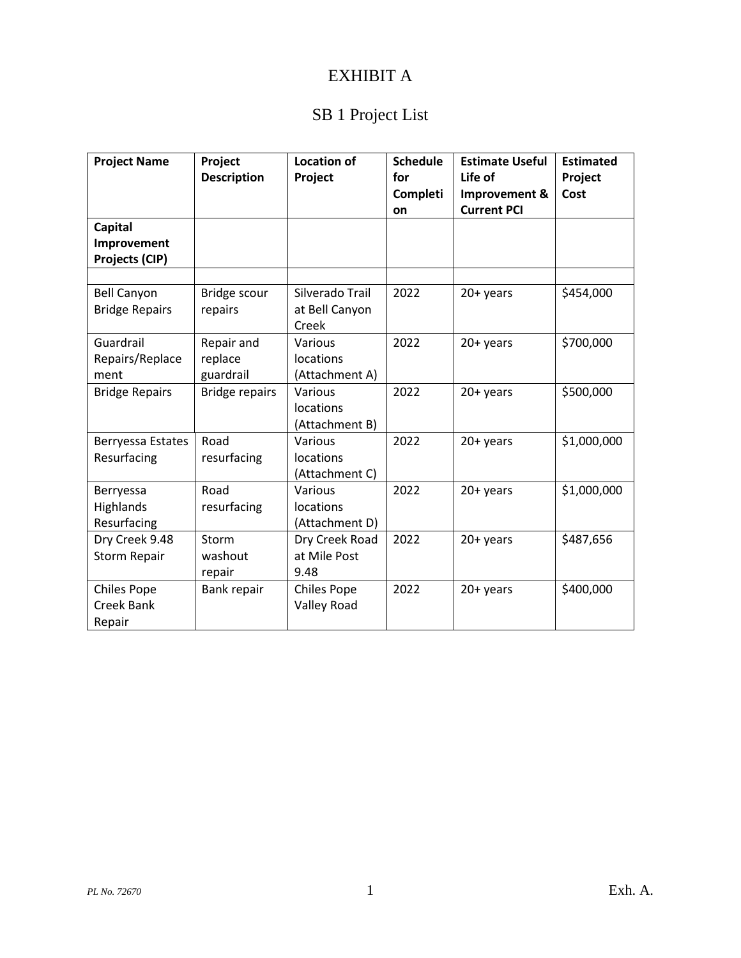### EXHIBIT A

## SB 1 Project List

| <b>Project Name</b>   | Project               | <b>Location of</b> | <b>Schedule</b> | <b>Estimate Useful</b> | <b>Estimated</b> |
|-----------------------|-----------------------|--------------------|-----------------|------------------------|------------------|
|                       | <b>Description</b>    | Project            | for             | Life of                | Project          |
|                       |                       |                    | Completi        | Improvement &          | Cost             |
|                       |                       |                    | on              | <b>Current PCI</b>     |                  |
| <b>Capital</b>        |                       |                    |                 |                        |                  |
| Improvement           |                       |                    |                 |                        |                  |
| Projects (CIP)        |                       |                    |                 |                        |                  |
|                       |                       |                    |                 |                        |                  |
| <b>Bell Canyon</b>    | Bridge scour          | Silverado Trail    | 2022            | 20+ years              | \$454,000        |
| <b>Bridge Repairs</b> | repairs               | at Bell Canyon     |                 |                        |                  |
|                       |                       | Creek              |                 |                        |                  |
| Guardrail             | Repair and            | Various            | 2022            | 20+ years              | \$700,000        |
| Repairs/Replace       | replace               | locations          |                 |                        |                  |
| ment                  | guardrail             | (Attachment A)     |                 |                        |                  |
| <b>Bridge Repairs</b> | <b>Bridge repairs</b> | Various            | 2022            | 20+ years              | \$500,000        |
|                       |                       | locations          |                 |                        |                  |
|                       |                       | (Attachment B)     |                 |                        |                  |
| Berryessa Estates     | Road                  | Various            | 2022            | 20+ years              | \$1,000,000      |
| Resurfacing           | resurfacing           | locations          |                 |                        |                  |
|                       |                       | (Attachment C)     |                 |                        |                  |
| Berryessa             | Road                  | Various            | 2022            | 20+ years              | \$1,000,000      |
| Highlands             | resurfacing           | locations          |                 |                        |                  |
| Resurfacing           |                       | (Attachment D)     |                 |                        |                  |
| Dry Creek 9.48        | Storm                 | Dry Creek Road     | 2022            | 20+ years              | \$487,656        |
| <b>Storm Repair</b>   | washout               | at Mile Post       |                 |                        |                  |
|                       | repair                | 9.48               |                 |                        |                  |
| <b>Chiles Pope</b>    | Bank repair           | <b>Chiles Pope</b> | 2022            | 20+ years              | \$400,000        |
| <b>Creek Bank</b>     |                       | <b>Valley Road</b> |                 |                        |                  |
| Repair                |                       |                    |                 |                        |                  |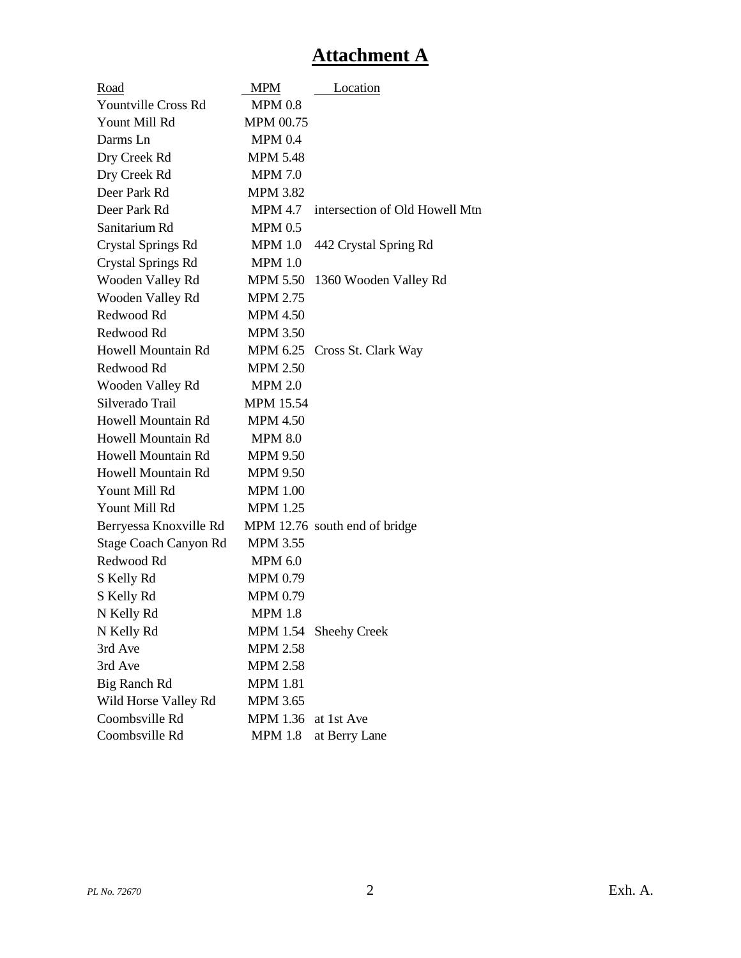## **Attachment A**

| Road                       | <b>MPM</b>       | Location                       |
|----------------------------|------------------|--------------------------------|
| <b>Yountville Cross Rd</b> | <b>MPM 0.8</b>   |                                |
| Yount Mill Rd              | MPM 00.75        |                                |
| Darms Ln                   | <b>MPM 0.4</b>   |                                |
| Dry Creek Rd               | <b>MPM 5.48</b>  |                                |
| Dry Creek Rd               | <b>MPM 7.0</b>   |                                |
| Deer Park Rd               | <b>MPM 3.82</b>  |                                |
| Deer Park Rd               | <b>MPM 4.7</b>   | intersection of Old Howell Mtn |
| Sanitarium Rd              | <b>MPM 0.5</b>   |                                |
| <b>Crystal Springs Rd</b>  | <b>MPM 1.0</b>   | 442 Crystal Spring Rd          |
| Crystal Springs Rd         | <b>MPM 1.0</b>   |                                |
| Wooden Valley Rd           | <b>MPM 5.50</b>  | 1360 Wooden Valley Rd          |
| Wooden Valley Rd           | <b>MPM 2.75</b>  |                                |
| Redwood Rd                 | <b>MPM 4.50</b>  |                                |
| Redwood Rd                 | <b>MPM 3.50</b>  |                                |
| Howell Mountain Rd         |                  | MPM 6.25 Cross St. Clark Way   |
| Redwood Rd                 | <b>MPM 2.50</b>  |                                |
| Wooden Valley Rd           | <b>MPM 2.0</b>   |                                |
| Silverado Trail            | <b>MPM 15.54</b> |                                |
| Howell Mountain Rd         | <b>MPM 4.50</b>  |                                |
| Howell Mountain Rd         | <b>MPM 8.0</b>   |                                |
| Howell Mountain Rd         | <b>MPM 9.50</b>  |                                |
| Howell Mountain Rd         | <b>MPM 9.50</b>  |                                |
| Yount Mill Rd              | <b>MPM 1.00</b>  |                                |
| Yount Mill Rd              | <b>MPM 1.25</b>  |                                |
| Berryessa Knoxville Rd     |                  | MPM 12.76 south end of bridge  |
| Stage Coach Canyon Rd      | <b>MPM 3.55</b>  |                                |
| Redwood Rd                 | <b>MPM 6.0</b>   |                                |
| S Kelly Rd                 | <b>MPM 0.79</b>  |                                |
| S Kelly Rd                 | <b>MPM 0.79</b>  |                                |
| N Kelly Rd                 | <b>MPM 1.8</b>   |                                |
| N Kelly Rd                 | MPM 1.54         | <b>Sheehy Creek</b>            |
| 3rd Ave                    | <b>MPM 2.58</b>  |                                |
| 3rd Ave                    | <b>MPM 2.58</b>  |                                |
| <b>Big Ranch Rd</b>        | <b>MPM 1.81</b>  |                                |
| Wild Horse Valley Rd       | <b>MPM 3.65</b>  |                                |
| Coombsville Rd             | <b>MPM 1.36</b>  | at 1st Ave                     |
| Coombsville Rd             | <b>MPM 1.8</b>   | at Berry Lane                  |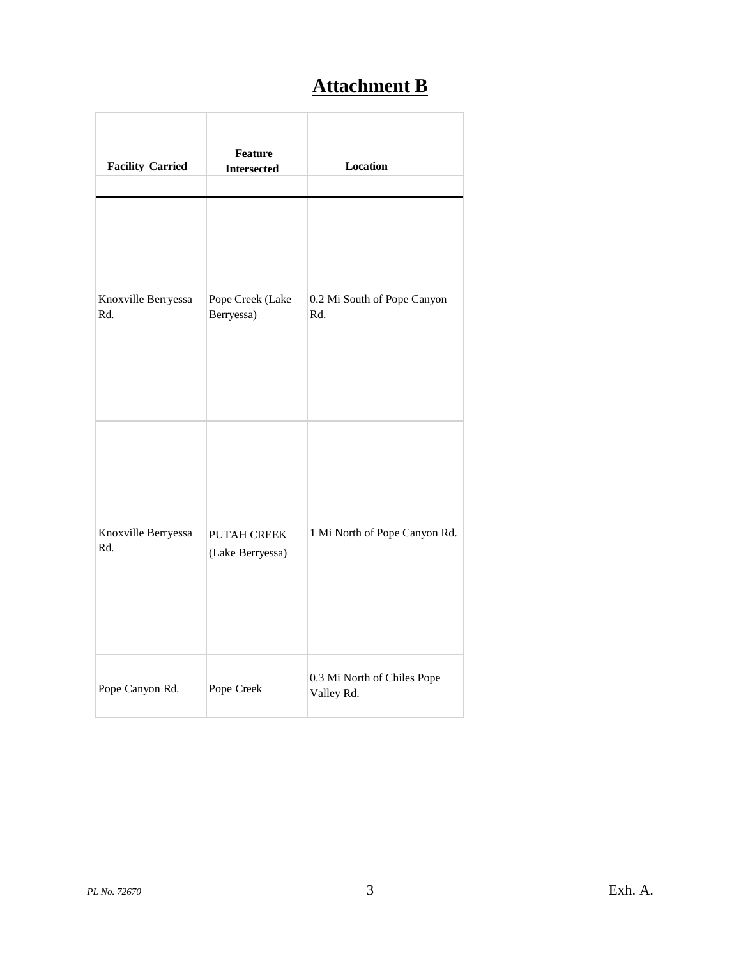# **Attachment B**

| <b>Facility Carried</b>    | <b>Feature</b><br><b>Intersected</b>   | <b>Location</b>                           |
|----------------------------|----------------------------------------|-------------------------------------------|
| Knoxville Berryessa<br>Rd. | Pope Creek (Lake<br>Berryessa)         | 0.2 Mi South of Pope Canyon<br>Rd.        |
| Knoxville Berryessa<br>Rd. | <b>PUTAH CREEK</b><br>(Lake Berryessa) | 1 Mi North of Pope Canyon Rd.             |
| Pope Canyon Rd.            | Pope Creek                             | 0.3 Mi North of Chiles Pope<br>Valley Rd. |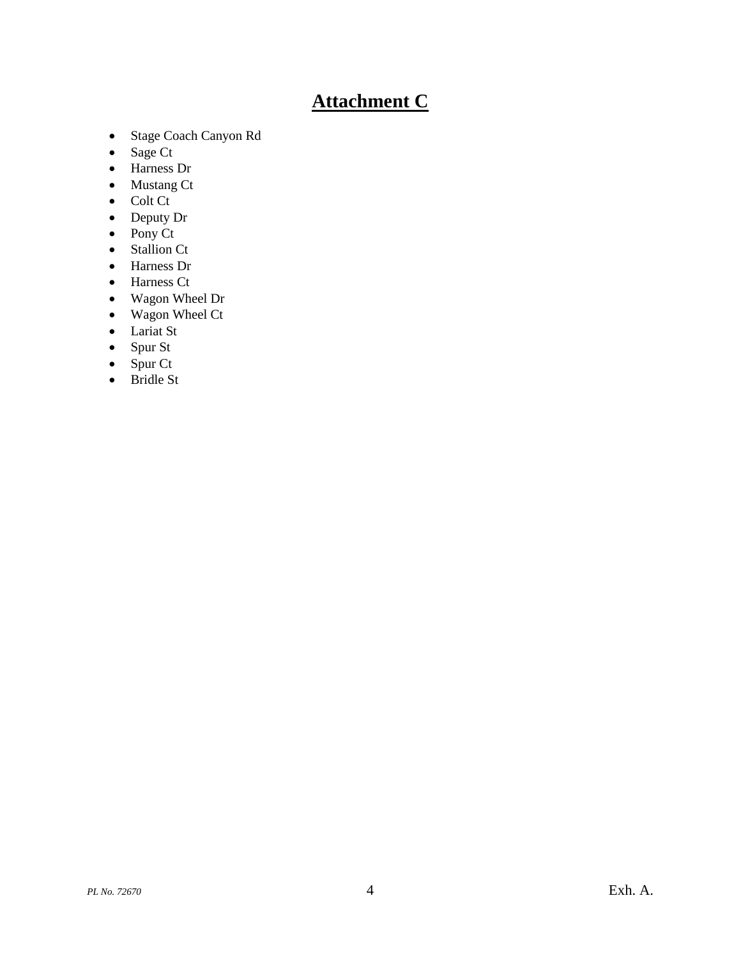## **Attachment C**

- Stage Coach Canyon Rd
- Sage Ct
- Harness Dr
- Mustang Ct
- Colt Ct
- Deputy Dr
- $\bullet$  Pony Ct
- Stallion Ct
- Harness Dr
- Harness Ct
- Wagon Wheel Dr
- Wagon Wheel Ct
- Lariat St
- Spur St
- $\bullet$  Spur Ct
- Bridle St